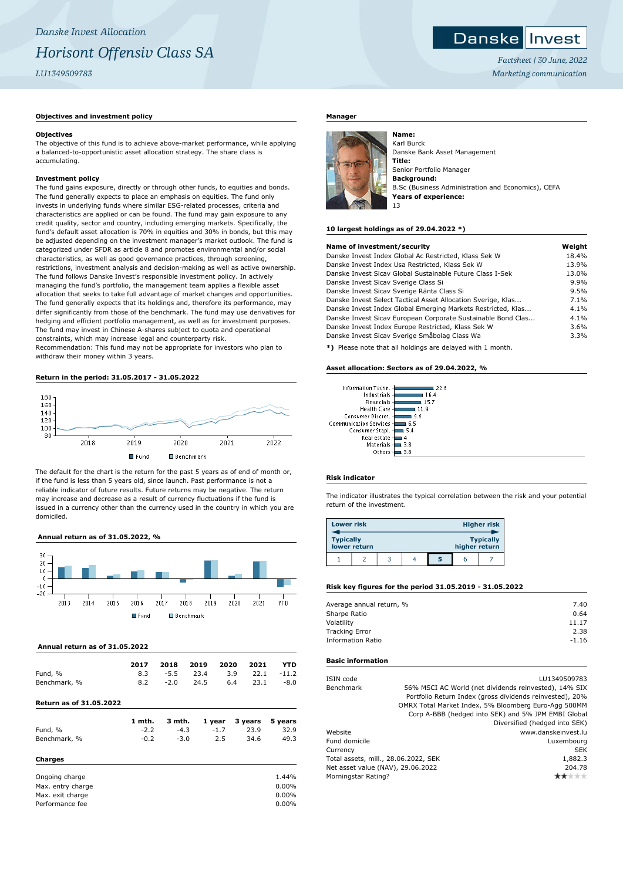# **Danskellnyest**

*Factsheet | 30 June, 2022 Marketing communication*

# **Objectives and investment policy**

# **Objectives**

The objective of this fund is to achieve above-market performance, while applying a balanced-to-opportunistic asset allocation strategy. The share class is accumulating.

# **Investment policy**

The fund gains exposure, directly or through other funds, to equities and bonds. The fund generally expects to place an emphasis on equities. The fund only invests in underlying funds where similar ESG-related processes, criteria and characteristics are applied or can be found. The fund may gain exposure to any credit quality, sector and country, including emerging markets. Specifically, the fund's default asset allocation is 70% in equities and 30% in bonds, but this may be adjusted depending on the investment manager's market outlook. The fund is categorized under SFDR as article 8 and promotes environmental and/or social characteristics, as well as good governance practices, through screening, restrictions, investment analysis and decision-making as well as active ownership. The fund follows Danske Invest's responsible investment policy. In actively managing the fund's portfolio, the management team applies a flexible asset allocation that seeks to take full advantage of market changes and opportunities. The fund generally expects that its holdings and, therefore its performance, may differ significantly from those of the benchmark. The fund may use derivatives for hedging and efficient portfolio management, as well as for investment purposes. The fund may invest in Chinese A-shares subject to quota and operational constraints, which may increase legal and counterparty risk. Recommendation: This fund may not be appropriate for investors who plan to

withdraw their money within 3 years.

# **Return in the period: 31.05.2017 - 31.05.2022**



The default for the chart is the return for the past 5 years as of end of month or, if the fund is less than 5 years old, since launch. Past performance is not a reliable indicator of future results. Future returns may be negative. The return may increase and decrease as a result of currency fluctuations if the fund is issued in a currency other than the currency used in the country in which you are domiciled.

# **Annual return as of 31.05.2022, %**



# **Annual return as of 31.05.2022**

|              | 2017 |        | 2018 2019 2020 2021                           | <b>YTD</b> |
|--------------|------|--------|-----------------------------------------------|------------|
| Fund, %      |      |        | $8.3 \t -5.5 \t 23.4 \t 3.9 \t 22.1 \t -11.2$ |            |
| Benchmark, % | 8.2  | $-2.0$ | 24.5 6.4 23.1                                 | $-8.0$     |

# **Return as of 31.05.2022**

|                   | 1 mth. | 3 mth. | 1 year | 3 years | 5 years  |
|-------------------|--------|--------|--------|---------|----------|
| Fund, %           | $-2.2$ | $-4.3$ | $-1.7$ | 23.9    | 32.9     |
| Benchmark, %      | $-0.2$ | $-3.0$ | 2.5    | 34.6    | 49.3     |
| Charges           |        |        |        |         |          |
| Ongoing charge    |        |        |        |         | 1.44%    |
| Max. entry charge |        |        |        |         | $0.00\%$ |
| Max. exit charge  |        |        |        |         | $0.00\%$ |
| Performance fee   |        |        |        |         | $0.00\%$ |
|                   |        |        |        |         |          |

#### **Manager**



Karl Burck Danske Bank Asset Management **Title:** Senior Portfolio Manager **Background:** B.Sc (Business Administration and Economics), CEFA **Years of experience:** 13

#### **10 largest holdings as of 29.04.2022 \*)**

| Name of investment/security                                  | Weight |
|--------------------------------------------------------------|--------|
| Danske Invest Index Global Ac Restricted, Klass Sek W        | 18.4%  |
| Danske Invest Index Usa Restricted, Klass Sek W              | 13.9%  |
| Danske Invest Sicay Global Sustainable Future Class I-Sek    | 13.0%  |
| Danske Invest Sicav Sverige Class Si                         | 9.9%   |
| Danske Invest Sicav Sverige Ränta Class Si                   | 9.5%   |
| Danske Invest Select Tactical Asset Allocation Sverige, Klas | 7.1%   |
| Danske Invest Index Global Emerging Markets Restricted, Klas | 4.1%   |
| Danske Invest Sicav European Corporate Sustainable Bond Clas | 4.1%   |
| Danske Invest Index Europe Restricted, Klass Sek W           | 3.6%   |
| Danske Invest Sicav Sverige Småbolag Class Wa                | 3.3%   |
|                                                              |        |

**\*)** Please note that all holdings are delayed with 1 month.

٠ĸ

#### **Asset allocation: Sectors as of 29.04.2022, %**

| Information Techn.            |      |
|-------------------------------|------|
| Industrials                   | 164  |
| Financials                    | 15.7 |
| Health Care                   | 19   |
| Consumer Discret.             | 9 9  |
| <b>Communication Services</b> | 6.5  |
| Consumer Stapl.               | 5.4  |
| Real estate                   |      |
| Materials                     | 3.8  |
| Others                        | 3.8  |

### **Risk indicator**

The indicator illustrates the typical correlation between the risk and your potential return of the investment.

| <b>Lower risk</b> |              |  |   |               | <b>Higher risk</b> |
|-------------------|--------------|--|---|---------------|--------------------|
| <b>Typically</b>  | lower return |  |   | higher return | <b>Typically</b>   |
|                   |              |  | 5 |               |                    |

#### **Risk key figures for the period 31.05.2019 - 31.05.2022**

| Average annual return, % | 7.40    |
|--------------------------|---------|
| Sharpe Ratio             | 0.64    |
| Volatility               | 11.17   |
| <b>Tracking Error</b>    | 2.38    |
| <b>Information Ratio</b> | $-1.16$ |
|                          |         |

#### **Basic information**

| ISIN code                            | LU1349509783                                             |
|--------------------------------------|----------------------------------------------------------|
| Benchmark                            | 56% MSCI AC World (net dividends reinvested), 14% SIX    |
|                                      | Portfolio Return Index (gross dividends reinvested), 20% |
|                                      | OMRX Total Market Index, 5% Bloomberg Euro-Agg 500MM     |
|                                      | Corp A-BBB (hedged into SEK) and 5% JPM EMBI Global      |
|                                      | Diversified (hedged into SEK)                            |
| Website                              | www.danskeinvest.lu                                      |
| Fund domicile                        | Luxembourg                                               |
| Currency                             | <b>SEK</b>                                               |
| Total assets, mill., 28.06.2022, SEK | 1,882.3                                                  |
| Net asset value (NAV), 29.06.2022    | 204.78                                                   |
| Morningstar Rating?                  |                                                          |
|                                      |                                                          |